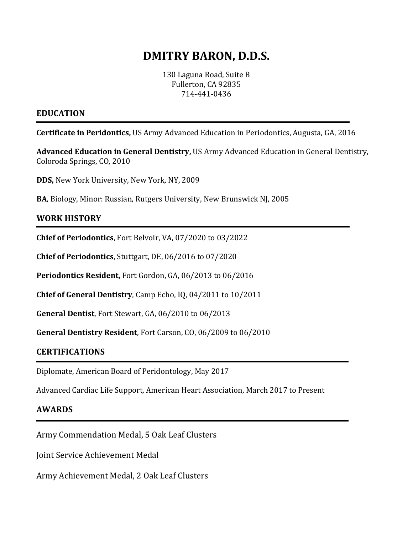# **DMITRY BARON, D.D.S.**

130 Laguna Road, Suite B Fullerton, CA 92835 714-441-0436

### **EDUCATION**

**Certificate in Peridontics,** US Army Advanced Education in Periodontics, Augusta, GA, 2016

**Advanced Education in General Dentistry,** US Army Advanced Education in General Dentistry, Coloroda Springs, CO, 2010

**DDS,** New York University, New York, NY, 2009

**BA**, Biology, Minor: Russian, Rutgers University, New Brunswick NJ, 2005

## **WORK HISTORY**

**Chief of Periodontics**, Fort Belvoir, VA, 07/2020 to 03/2022

**Chief of Periodontics**, Stuttgart, DE, 06/2016 to 07/2020

**Periodontics Resident,** Fort Gordon, GA, 06/2013 to 06/2016

**Chief of General Dentistry**, Camp Echo, IQ, 04/2011 to 10/2011

**General Dentist**, Fort Stewart, GA, 06/2010 to 06/2013

**General Dentistry Resident**, Fort Carson, CO, 06/2009 to 06/2010

#### **CERTIFICATIONS**

Diplomate, American Board of Peridontology, May 2017

Advanced Cardiac Life Support, American Heart Association, March 2017 to Present

#### **AWARDS**

Army Commendation Medal, 5 Oak Leaf Clusters

Joint Service Achievement Medal

Army Achievement Medal, 2 Oak Leaf Clusters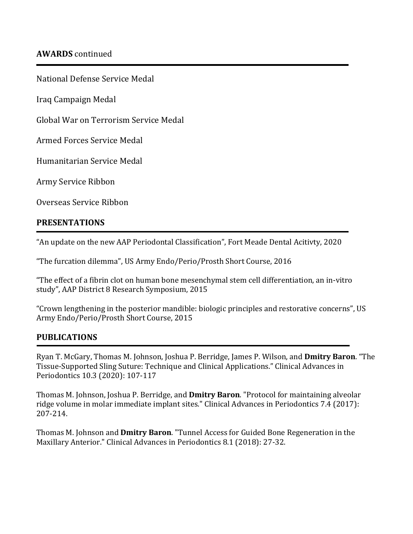National Defense Service Medal

Iraq Campaign Medal

Global War on Terrorism Service Medal

Armed Forces Service Medal

Humanitarian Service Medal

Army Service Ribbon

Overseas Service Ribbon

## **PRESENTATIONS**

"An update on the new AAP Periodontal Classification", Fort Meade Dental Acitivty, 2020

"The furcation dilemma", US Army Endo/Perio/Prosth Short Course, 2016

"The effect of a fibrin clot on human bone mesenchymal stem cell differentiation, an in-vitro study", AAP District 8 Research Symposium, 2015

"Crown lengthening in the posterior mandible: biologic principles and restorative concerns", US Army Endo/Perio/Prosth Short Course, 2015

## **PUBLICATIONS**

Ryan T. McGary, Thomas M. Johnson, Joshua P. Berridge, James P. Wilson, and **Dmitry Baron**. "The Tissue-Supported Sling Suture: Technique and Clinical Applications." Clinical Advances in Periodontics 10.3 (2020): 107-117

Thomas M. Johnson, Joshua P. Berridge, and **Dmitry Baron**. "Protocol for maintaining alveolar ridge volume in molar immediate implant sites." Clinical Advances in Periodontics 7.4 (2017): 207-214.

Thomas M. Johnson and **Dmitry Baron**. "Tunnel Access for Guided Bone Regeneration in the Maxillary Anterior." Clinical Advances in Periodontics 8.1 (2018): 27-32.